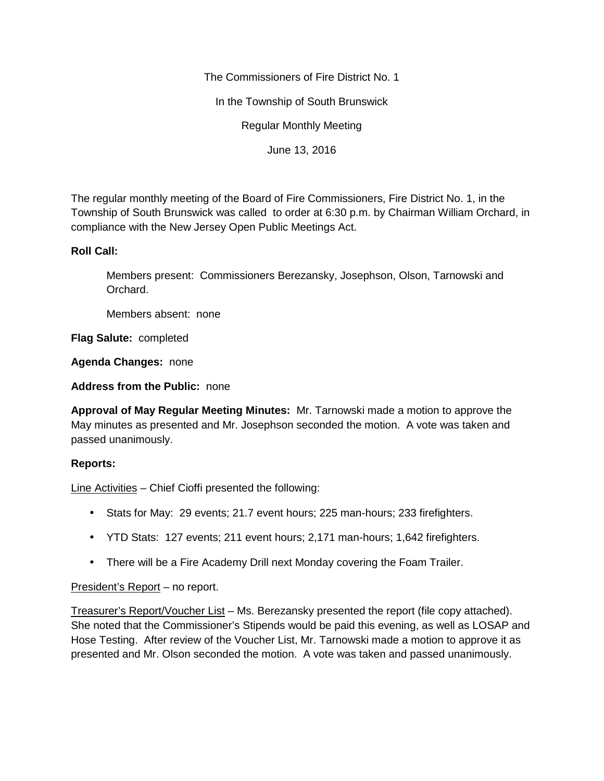The Commissioners of Fire District No. 1

In the Township of South Brunswick

Regular Monthly Meeting

June 13, 2016

The regular monthly meeting of the Board of Fire Commissioners, Fire District No. 1, in the Township of South Brunswick was called to order at 6:30 p.m. by Chairman William Orchard, in compliance with the New Jersey Open Public Meetings Act.

## **Roll Call:**

Members present: Commissioners Berezansky, Josephson, Olson, Tarnowski and Orchard.

Members absent: none

**Flag Salute:** completed

**Agenda Changes:** none

**Address from the Public:** none

**Approval of May Regular Meeting Minutes:** Mr. Tarnowski made a motion to approve the May minutes as presented and Mr. Josephson seconded the motion. A vote was taken and passed unanimously.

## **Reports:**

Line Activities – Chief Cioffi presented the following:

- Stats for May: 29 events; 21.7 event hours; 225 man-hours; 233 firefighters.
- YTD Stats: 127 events; 211 event hours; 2,171 man-hours; 1,642 firefighters.
- There will be a Fire Academy Drill next Monday covering the Foam Trailer.

## President's Report – no report.

Treasurer's Report/Voucher List – Ms. Berezansky presented the report (file copy attached). She noted that the Commissioner's Stipends would be paid this evening, as well as LOSAP and Hose Testing. After review of the Voucher List, Mr. Tarnowski made a motion to approve it as presented and Mr. Olson seconded the motion. A vote was taken and passed unanimously.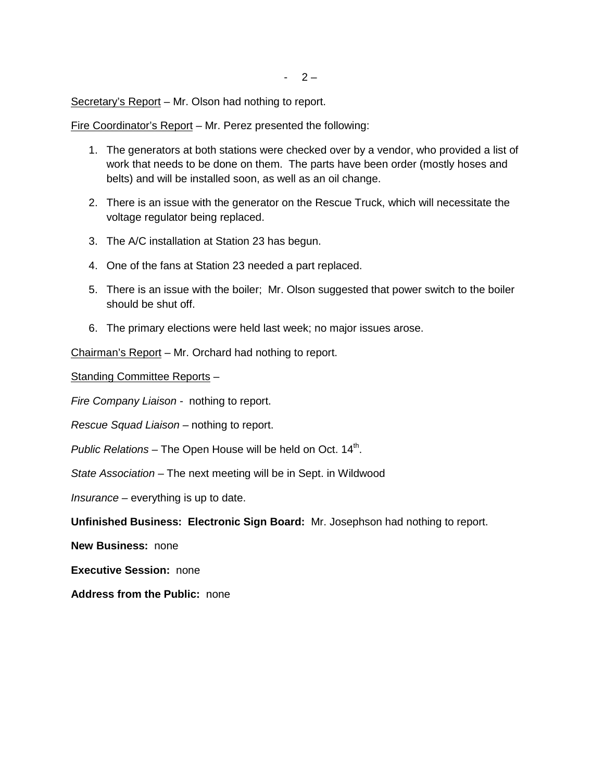Secretary's Report – Mr. Olson had nothing to report.

Fire Coordinator's Report – Mr. Perez presented the following:

- 1. The generators at both stations were checked over by a vendor, who provided a list of work that needs to be done on them. The parts have been order (mostly hoses and belts) and will be installed soon, as well as an oil change.
- 2. There is an issue with the generator on the Rescue Truck, which will necessitate the voltage regulator being replaced.
- 3. The A/C installation at Station 23 has begun.
- 4. One of the fans at Station 23 needed a part replaced.
- 5. There is an issue with the boiler; Mr. Olson suggested that power switch to the boiler should be shut off.
- 6. The primary elections were held last week; no major issues arose.

Chairman's Report – Mr. Orchard had nothing to report.

Standing Committee Reports –

*Fire Company Liaison -* nothing to report.

*Rescue Squad Liaison –* nothing to report.

Public Relations – The Open House will be held on Oct. 14<sup>th</sup>.

*State Association –* The next meeting will be in Sept. in Wildwood

*Insurance –* everything is up to date.

**Unfinished Business: Electronic Sign Board:** Mr. Josephson had nothing to report.

**New Business:** none

**Executive Session:** none

**Address from the Public:** none